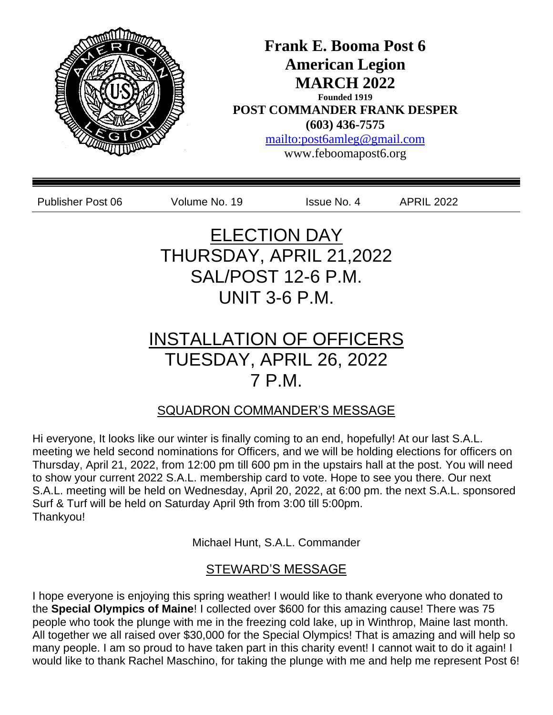

I hope everyone is enjoying this spring weather! I would like to thank everyone who donated to the **Special Olympics of Maine**! I collected over \$600 for this amazing cause! There was 75 people who took the plunge with me in the freezing cold lake, up in Winthrop, Maine last month. All together we all raised over \$30,000 for the Special Olympics! That is amazing and will help so many people. I am so proud to have taken part in this charity event! I cannot wait to do it again! I would like to thank Rachel Maschino, for taking the plunge with me and help me represent Post 6!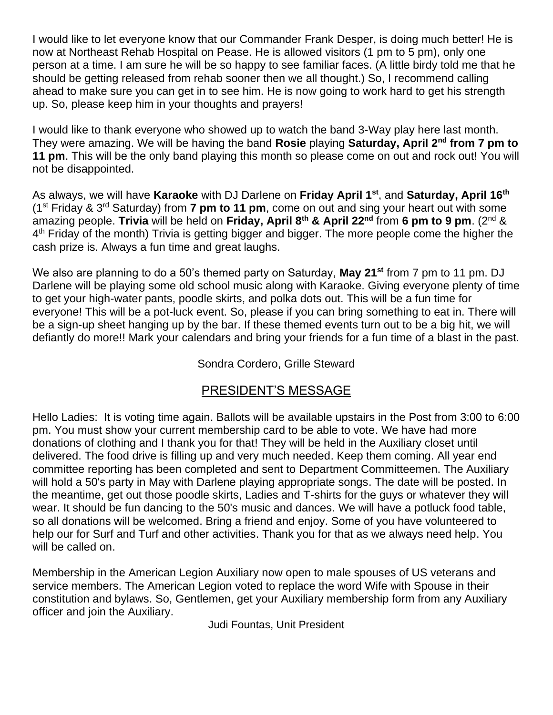I would like to let everyone know that our Commander Frank Desper, is doing much better! He is now at Northeast Rehab Hospital on Pease. He is allowed visitors (1 pm to 5 pm), only one person at a time. I am sure he will be so happy to see familiar faces. (A little birdy told me that he should be getting released from rehab sooner then we all thought.) So, I recommend calling ahead to make sure you can get in to see him. He is now going to work hard to get his strength up. So, please keep him in your thoughts and prayers!

I would like to thank everyone who showed up to watch the band 3-Way play here last month. They were amazing. We will be having the band **Rosie** playing **Saturday, April 2nd from 7 pm to 11 pm**. This will be the only band playing this month so please come on out and rock out! You will not be disappointed.

As always, we will have **Karaoke** with DJ Darlene on **Friday April 1st**, and **Saturday, April 16th** (1st Friday & 3rd Saturday) from **7 pm to 11 pm**, come on out and sing your heart out with some amazing people. **Trivia** will be held on **Friday, April 8th & April 22nd** from **6 pm to 9 pm**. (2nd & 4<sup>th</sup> Friday of the month) Trivia is getting bigger and bigger. The more people come the higher the cash prize is. Always a fun time and great laughs.

We also are planning to do a 50's themed party on Saturday, **May 21st** from 7 pm to 11 pm. DJ Darlene will be playing some old school music along with Karaoke. Giving everyone plenty of time to get your high-water pants, poodle skirts, and polka dots out. This will be a fun time for everyone! This will be a pot-luck event. So, please if you can bring something to eat in. There will be a sign-up sheet hanging up by the bar. If these themed events turn out to be a big hit, we will defiantly do more!! Mark your calendars and bring your friends for a fun time of a blast in the past.

### Sondra Cordero, Grille Steward

# PRESIDENT'S MESSAGE

Hello Ladies: It is voting time again. Ballots will be available upstairs in the Post from 3:00 to 6:00 pm. You must show your current membership card to be able to vote. We have had more donations of clothing and I thank you for that! They will be held in the Auxiliary closet until delivered. The food drive is filling up and very much needed. Keep them coming. All year end committee reporting has been completed and sent to Department Committeemen. The Auxiliary will hold a 50's party in May with Darlene playing appropriate songs. The date will be posted. In the meantime, get out those poodle skirts, Ladies and T-shirts for the guys or whatever they will wear. It should be fun dancing to the 50's music and dances. We will have a potluck food table, so all donations will be welcomed. Bring a friend and enjoy. Some of you have volunteered to help our for Surf and Turf and other activities. Thank you for that as we always need help. You will be called on.

Membership in the American Legion Auxiliary now open to male spouses of US veterans and service members. The American Legion voted to replace the word Wife with Spouse in their constitution and bylaws. So, Gentlemen, get your Auxiliary membership form from any Auxiliary officer and join the Auxiliary.

Judi Fountas, Unit President